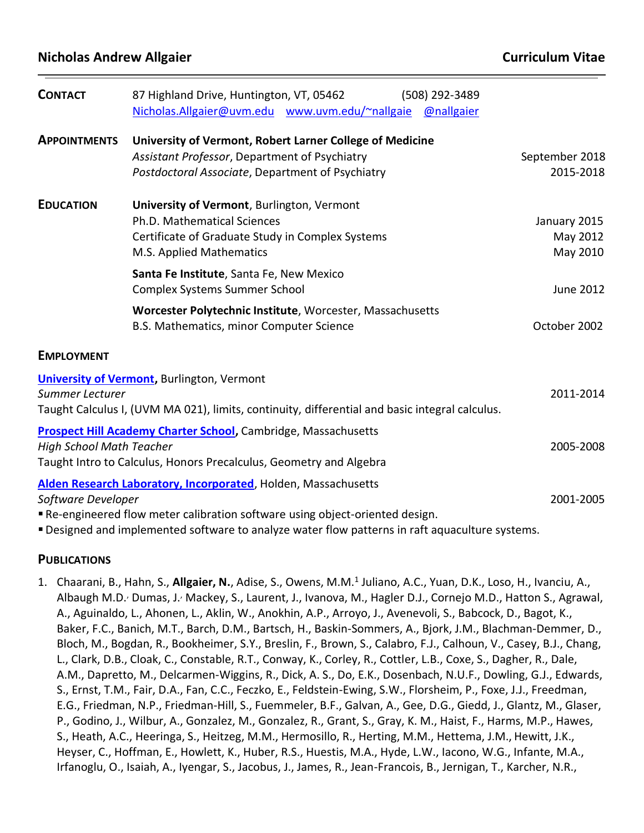| <b>CONTACT</b>                  | 87 Highland Drive, Huntington, VT, 05462<br>(508) 292-3489                                     |                  |
|---------------------------------|------------------------------------------------------------------------------------------------|------------------|
|                                 | Nicholas.Allgaier@uvm.edu www.uvm.edu/~nallgaie<br>@nallgaier                                  |                  |
| <b>APPOINTMENTS</b>             | University of Vermont, Robert Larner College of Medicine                                       |                  |
|                                 | Assistant Professor, Department of Psychiatry                                                  | September 2018   |
|                                 | Postdoctoral Associate, Department of Psychiatry                                               | 2015-2018        |
| <b>EDUCATION</b>                | University of Vermont, Burlington, Vermont                                                     |                  |
|                                 | Ph.D. Mathematical Sciences                                                                    | January 2015     |
|                                 | Certificate of Graduate Study in Complex Systems                                               | May 2012         |
|                                 | M.S. Applied Mathematics                                                                       | May 2010         |
|                                 | Santa Fe Institute, Santa Fe, New Mexico                                                       |                  |
|                                 | <b>Complex Systems Summer School</b>                                                           | <b>June 2012</b> |
|                                 | Worcester Polytechnic Institute, Worcester, Massachusetts                                      |                  |
|                                 | B.S. Mathematics, minor Computer Science                                                       | October 2002     |
| <b>EMPLOYMENT</b>               |                                                                                                |                  |
|                                 | <b>University of Vermont, Burlington, Vermont</b>                                              |                  |
| Summer Lecturer                 |                                                                                                | 2011-2014        |
|                                 | Taught Calculus I, (UVM MA 021), limits, continuity, differential and basic integral calculus. |                  |
|                                 | <b>Prospect Hill Academy Charter School, Cambridge, Massachusetts</b>                          |                  |
| <b>High School Math Teacher</b> |                                                                                                | 2005-2008        |
|                                 | Taught Intro to Calculus, Honors Precalculus, Geometry and Algebra                             |                  |
|                                 | Alden Research Laboratory, Incorporated, Holden, Massachusetts                                 |                  |
| Software Developer              |                                                                                                | 2001-2005        |
|                                 | Re-engineered flow meter calibration software using object-oriented design.                    |                  |

▪Designed and implemented software to analyze water flow patterns in raft aquaculture systems.

#### **PUBLICATIONS**

1. Chaarani, B., Hahn, S., **Allgaier, N.**, Adise, S., Owens, M.M.<sup>1</sup> Juliano, A.C., Yuan, D.K., Loso, H., Ivanciu, A., Albaugh M.D., Dumas, J., Mackey, S., Laurent, J., Ivanova, M., Hagler D.J., Cornejo M.D., Hatton S., Agrawal, A., Aguinaldo, L., Ahonen, L., Aklin, W., Anokhin, A.P., Arroyo, J., Avenevoli, S., Babcock, D., Bagot, K., Baker, F.C., Banich, M.T., Barch, D.M., Bartsch, H., Baskin-Sommers, A., Bjork, J.M., Blachman-Demmer, D., Bloch, M., Bogdan, R., Bookheimer, S.Y., Breslin, F., Brown, S., Calabro, F.J., Calhoun, V., Casey, B.J., Chang, L., Clark, D.B., Cloak, C., Constable, R.T., Conway, K., Corley, R., Cottler, L.B., Coxe, S., Dagher, R., Dale, A.M., Dapretto, M., Delcarmen-Wiggins, R., Dick, A. S., Do, E.K., Dosenbach, N.U.F., Dowling, G.J., Edwards, S., Ernst, T.M., Fair, D.A., Fan, C.C., Feczko, E., Feldstein-Ewing, S.W., Florsheim, P., Foxe, J.J., Freedman, E.G., Friedman, N.P., Friedman-Hill, S., Fuemmeler, B.F., Galvan, A., Gee, D.G., Giedd, J., Glantz, M., Glaser, P., Godino, J., Wilbur, A., Gonzalez, M., Gonzalez, R., Grant, S., Gray, K. M., Haist, F., Harms, M.P., Hawes, S., Heath, A.C., Heeringa, S., Heitzeg, M.M., Hermosillo, R., Herting, M.M., Hettema, J.M., Hewitt, J.K., Heyser, C., Hoffman, E., Howlett, K., Huber, R.S., Huestis, M.A., Hyde, L.W., Iacono, W.G., Infante, M.A., Irfanoglu, O., Isaiah, A., Iyengar, S., Jacobus, J., James, R., Jean-Francois, B., Jernigan, T., Karcher, N.R.,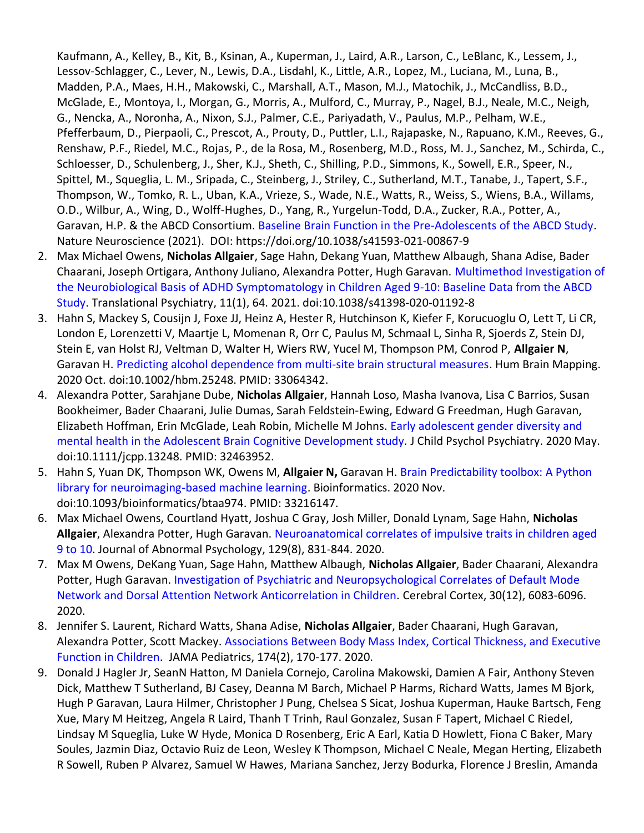Kaufmann, A., Kelley, B., Kit, B., Ksinan, A., Kuperman, J., Laird, A.R., Larson, C., LeBlanc, K., Lessem, J., Lessov-Schlagger, C., Lever, N., Lewis, D.A., Lisdahl, K., Little, A.R., Lopez, M., Luciana, M., Luna, B., Madden, P.A., Maes, H.H., Makowski, C., Marshall, A.T., Mason, M.J., Matochik, J., McCandliss, B.D., McGlade, E., Montoya, I., Morgan, G., Morris, A., Mulford, C., Murray, P., Nagel, B.J., Neale, M.C., Neigh, G., Nencka, A., Noronha, A., Nixon, S.J., Palmer, C.E., Pariyadath, V., Paulus, M.P., Pelham, W.E., Pfefferbaum, D., Pierpaoli, C., Prescot, A., Prouty, D., Puttler, L.I., Rajapaske, N., Rapuano, K.M., Reeves, G., Renshaw, P.F., Riedel, M.C., Rojas, P., de la Rosa, M., Rosenberg, M.D., Ross, M. J., Sanchez, M., Schirda, C., Schloesser, D., Schulenberg, J., Sher, K.J., Sheth, C., Shilling, P.D., Simmons, K., Sowell, E.R., Speer, N., Spittel, M., Squeglia, L. M., Sripada, C., Steinberg, J., Striley, C., Sutherland, M.T., Tanabe, J., Tapert, S.F., Thompson, W., Tomko, R. L., Uban, K.A., Vrieze, S., Wade, N.E., Watts, R., Weiss, S., Wiens, B.A., Willams, O.D., Wilbur, A., Wing, D., Wolff-Hughes, D., Yang, R., Yurgelun-Todd, D.A., Zucker, R.A., Potter, A., Garavan, H.P. & the ABCD Consortium. [Baseline Brain Function in the Pre-Adolescents of the ABCD Study.](https://www.nature.com/articles/s41593-021-00867-9) Nature Neuroscience (2021). DOI: https://doi.org/10.1038/s41593-021-00867-9

- 2. Max Michael Owens, **Nicholas Allgaier**, Sage Hahn, Dekang Yuan, Matthew Albaugh, Shana Adise, Bader Chaarani, Joseph Ortigara, Anthony Juliano, Alexandra Potter, Hugh Garavan. [Multimethod Investigation of](https://www.nature.com/articles/s41398-020-01192-8)  [the Neurobiological Basis of ADHD Symptomatology in Children Aged 9-10: Baseline Data from the ABCD](https://www.nature.com/articles/s41398-020-01192-8)  [Study.](https://www.nature.com/articles/s41398-020-01192-8) Translational Psychiatry, 11(1), 64. 2021. doi:10.1038/s41398-020-01192-8
- 3. Hahn S, Mackey S, Cousijn J, Foxe JJ, Heinz A, Hester R, Hutchinson K, Kiefer F, Korucuoglu O, Lett T, Li CR, London E, Lorenzetti V, Maartje L, Momenan R, Orr C, Paulus M, Schmaal L, Sinha R, Sjoerds Z, Stein DJ, Stein E, van Holst RJ, Veltman D, Walter H, Wiers RW, Yucel M, Thompson PM, Conrod P, **Allgaier N**, Garavan H. [Predicting alcohol dependence from multi-site brain structural measures.](https://onlinelibrary.wiley.com/doi/full/10.1002/hbm.25248) Hum Brain Mapping. 2020 Oct. doi:10.1002/hbm.25248. PMID: 33064342.
- 4. Alexandra Potter, Sarahjane Dube, **Nicholas Allgaier**, Hannah Loso, Masha Ivanova, Lisa C Barrios, Susan Bookheimer, Bader Chaarani, Julie Dumas, Sarah Feldstein‐Ewing, Edward G Freedman, Hugh Garavan, Elizabeth Hoffman, Erin McGlade, Leah Robin, Michelle M Johns. [Early adolescent gender diversity and](https://acamh.onlinelibrary.wiley.com/doi/abs/10.1111/jcpp.13248)  [mental health in the Adolescent Brain Cognitive Development study](https://acamh.onlinelibrary.wiley.com/doi/abs/10.1111/jcpp.13248)*.* J Child Psychol Psychiatry. 2020 May. doi:10.1111/jcpp.13248. PMID: 32463952.
- 5. Hahn S, Yuan DK, Thompson WK, Owens M, **Allgaier N,** Garavan H. [Brain Predictability toolbox: A Python](https://academic.oup.com/bioinformatics/advance-article/doi/10.1093/bioinformatics/btaa974/5995310)  [library for neuroimaging-based machine learning.](https://academic.oup.com/bioinformatics/advance-article/doi/10.1093/bioinformatics/btaa974/5995310) Bioinformatics. 2020 Nov. doi:10.1093/bioinformatics/btaa974. PMID: 33216147.
- 6. Max Michael Owens, Courtland Hyatt, Joshua C Gray, Josh Miller, Donald Lynam, Sage Hahn, **Nicholas Allgaier**, Alexandra Potter, Hugh Garavan. [Neuroanatomical correlates of impulsive traits in children aged](https://doi.apa.org/doiLanding?doi=10.1037%2Fabn0000627)  [9 to 10.](https://doi.apa.org/doiLanding?doi=10.1037%2Fabn0000627) Journal of Abnormal Psychology, 129(8), 831-844. 2020.
- 7. Max M Owens, DeKang Yuan, Sage Hahn, Matthew Albaugh, **Nicholas Allgaier**, Bader Chaarani, Alexandra Potter, Hugh Garavan. [Investigation of Psychiatric and Neuropsychological Correlates of Default Mode](https://academic.oup.com/cercor/article/30/12/6083/5863433)  [Network and Dorsal Attention Network Anticorrelation in Children](https://academic.oup.com/cercor/article/30/12/6083/5863433)*.* Cerebral Cortex, 30(12), 6083-6096. 2020.
- 8. Jennifer S. Laurent, Richard Watts, Shana Adise, **Nicholas Allgaier**, Bader Chaarani, Hugh Garavan, Alexandra Potter, Scott Mackey. [Associations Between Body Mass Index, Cortical Thickness, and Executive](https://jamanetwork.com/journals/jamapediatrics/fullarticle/2756132)  [Function in Children.](https://jamanetwork.com/journals/jamapediatrics/fullarticle/2756132) JAMA Pediatrics, 174(2), 170-177. 2020.
- 9. Donald J Hagler Jr, SeanN Hatton, M Daniela Cornejo, Carolina Makowski, Damien A Fair, Anthony Steven Dick, Matthew T Sutherland, BJ Casey, Deanna M Barch, Michael P Harms, Richard Watts, James M Bjork, Hugh P Garavan, Laura Hilmer, Christopher J Pung, Chelsea S Sicat, Joshua Kuperman, Hauke Bartsch, Feng Xue, Mary M Heitzeg, Angela R Laird, Thanh T Trinh, Raul Gonzalez, Susan F Tapert, Michael C Riedel, Lindsay M Squeglia, Luke W Hyde, Monica D Rosenberg, Eric A Earl, Katia D Howlett, Fiona C Baker, Mary Soules, Jazmin Diaz, Octavio Ruiz de Leon, Wesley K Thompson, Michael C Neale, Megan Herting, Elizabeth R Sowell, Ruben P Alvarez, Samuel W Hawes, Mariana Sanchez, Jerzy Bodurka, Florence J Breslin, Amanda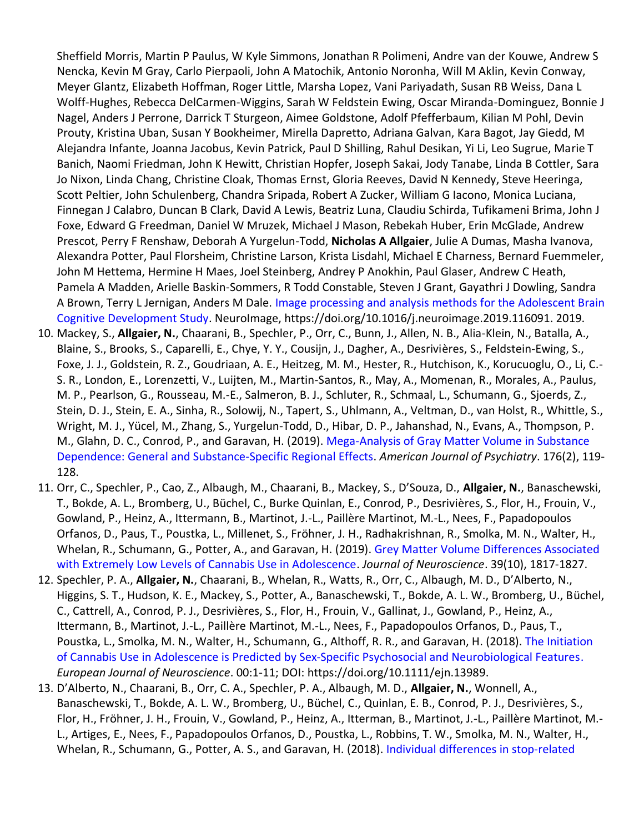Sheffield Morris, Martin P Paulus, W Kyle Simmons, Jonathan R Polimeni, Andre van der Kouwe, Andrew S Nencka, Kevin M Gray, Carlo Pierpaoli, John A Matochik, Antonio Noronha, Will M Aklin, Kevin Conway, Meyer Glantz, Elizabeth Hoffman, Roger Little, Marsha Lopez, Vani Pariyadath, Susan RB Weiss, Dana L Wolff-Hughes, Rebecca DelCarmen-Wiggins, Sarah W Feldstein Ewing, Oscar Miranda-Dominguez, Bonnie J Nagel, Anders J Perrone, Darrick T Sturgeon, Aimee Goldstone, Adolf Pfefferbaum, Kilian M Pohl, Devin Prouty, Kristina Uban, Susan Y Bookheimer, Mirella Dapretto, Adriana Galvan, Kara Bagot, Jay Giedd, M Alejandra Infante, Joanna Jacobus, Kevin Patrick, Paul D Shilling, Rahul Desikan, Yi Li, Leo Sugrue, Marie T Banich, Naomi Friedman, John K Hewitt, Christian Hopfer, Joseph Sakai, Jody Tanabe, Linda B Cottler, Sara Jo Nixon, Linda Chang, Christine Cloak, Thomas Ernst, Gloria Reeves, David N Kennedy, Steve Heeringa, Scott Peltier, John Schulenberg, Chandra Sripada, Robert A Zucker, William G Iacono, Monica Luciana, Finnegan J Calabro, Duncan B Clark, David A Lewis, Beatriz Luna, Claudiu Schirda, Tufikameni Brima, John J Foxe, Edward G Freedman, Daniel W Mruzek, Michael J Mason, Rebekah Huber, Erin McGlade, Andrew Prescot, Perry F Renshaw, Deborah A Yurgelun-Todd, **Nicholas A Allgaier**, Julie A Dumas, Masha Ivanova, Alexandra Potter, Paul Florsheim, Christine Larson, Krista Lisdahl, Michael E Charness, Bernard Fuemmeler, John M Hettema, Hermine H Maes, Joel Steinberg, Andrey P Anokhin, Paul Glaser, Andrew C Heath, Pamela A Madden, Arielle Baskin-Sommers, R Todd Constable, Steven J Grant, Gayathri J Dowling, Sandra A Brown, Terry L Jernigan, Anders M Dale. [Image processing and analysis methods for the Adolescent Brain](https://www.sciencedirect.com/science/article/abs/pii/S1053811919306822?via%3Dihub)  [Cognitive Development Study.](https://www.sciencedirect.com/science/article/abs/pii/S1053811919306822?via%3Dihub) NeuroImage, https://doi.org/10.1016/j.neuroimage.2019.116091. 2019.

- 10. Mackey, S., **Allgaier, N.**, Chaarani, B., Spechler, P., Orr, C., Bunn, J., Allen, N. B., Alia-Klein, N., Batalla, A., Blaine, S., Brooks, S., Caparelli, E., Chye, Y. Y., Cousijn, J., Dagher, A., Desrivières, S., Feldstein-Ewing, S., Foxe, J. J., Goldstein, R. Z., Goudriaan, A. E., Heitzeg, M. M., Hester, R., Hutchison, K., Korucuoglu, O., Li, C.- S. R., London, E., Lorenzetti, V., Luijten, M., Martin-Santos, R., May, A., Momenan, R., Morales, A., Paulus, M. P., Pearlson, G., Rousseau, M.-E., Salmeron, B. J., Schluter, R., Schmaal, L., Schumann, G., Sjoerds, Z., Stein, D. J., Stein, E. A., Sinha, R., Solowij, N., Tapert, S., Uhlmann, A., Veltman, D., van Holst, R., Whittle, S., Wright, M. J., Yücel, M., Zhang, S., Yurgelun-Todd, D., Hibar, D. P., Jahanshad, N., Evans, A., Thompson, P. M., Glahn, D. C., Conrod, P., and Garavan, H. (2019). [Mega-Analysis of Gray Matter Volume in Substance](https://ajp.psychiatryonline.org/doi/10.1176/appi.ajp.2018.17040415)  [Dependence: General and Substance-Specific Regional Effects.](https://ajp.psychiatryonline.org/doi/10.1176/appi.ajp.2018.17040415) *American Journal of Psychiatry*. 176(2), 119- 128.
- 11. Orr, C., Spechler, P., Cao, Z., Albaugh, M., Chaarani, B., Mackey, S., D'Souza, D., **Allgaier, N.**, Banaschewski, T., Bokde, A. L., Bromberg, U., Büchel, C., Burke Quinlan, E., Conrod, P., Desrivières, S., Flor, H., Frouin, V., Gowland, P., Heinz, A., Ittermann, B., Martinot, J.-L., Paillère Martinot, M.-L., Nees, F., Papadopoulos Orfanos, D., Paus, T., Poustka, L., Millenet, S., Fröhner, J. H., Radhakrishnan, R., Smolka, M. N., Walter, H., Whelan, R., Schumann, G., Potter, A., and Garavan, H. (2019). [Grey Matter Volume Differences Associated](http://www.jneurosci.org/content/early/2019/01/14/JNEUROSCI.3375-17.2018)  [with Extremely Low Levels of Cannabis Use in Adolescence.](http://www.jneurosci.org/content/early/2019/01/14/JNEUROSCI.3375-17.2018) *Journal of Neuroscience*. 39(10), 1817-1827.
- 12. Spechler, P. A., **Allgaier, N.**, Chaarani, B., Whelan, R., Watts, R., Orr, C., Albaugh, M. D., D'Alberto, N., Higgins, S. T., Hudson, K. E., Mackey, S., Potter, A., Banaschewski, T., Bokde, A. L. W., Bromberg, U., Büchel, C., Cattrell, A., Conrod, P. J., Desrivières, S., Flor, H., Frouin, V., Gallinat, J., Gowland, P., Heinz, A., Ittermann, B., Martinot, J.-L., Paillère Martinot, M.-L., Nees, F., Papadopoulos Orfanos, D., Paus, T., Poustka, L., Smolka, M. N., Walter, H., Schumann, G., Althoff, R. R., and Garavan, H. (2018). [The Initiation](https://onlinelibrary.wiley.com/doi/full/10.1111/ejn.13989)  [of Cannabis Use in Adolescence is Predicted by Sex‐Specific Psychosocial and Neurobiological Features](https://onlinelibrary.wiley.com/doi/full/10.1111/ejn.13989). *European Journal of Neuroscience*. 00:1-11; DOI: https://doi.org/10.1111/ejn.13989.
- 13. D'Alberto, N., Chaarani, B., Orr, C. A., Spechler, P. A., Albaugh, M. D., **Allgaier, N.**, Wonnell, A., Banaschewski, T., Bokde, A. L. W., Bromberg, U., Büchel, C., Quinlan, E. B., Conrod, P. J., Desrivières, S., Flor, H., Fröhner, J. H., Frouin, V., Gowland, P., Heinz, A., Itterman, B., Martinot, J.-L., Paillère Martinot, M.- L., Artiges, E., Nees, F., Papadopoulos Orfanos, D., Poustka, L., Robbins, T. W., Smolka, M. N., Walter, H., Whelan, R., Schumann, G., Potter, A. S., and Garavan, H. (2018). [Individual differences in stop‐related](https://onlinelibrary.wiley.com/doi/abs/10.1002/hbm.24075)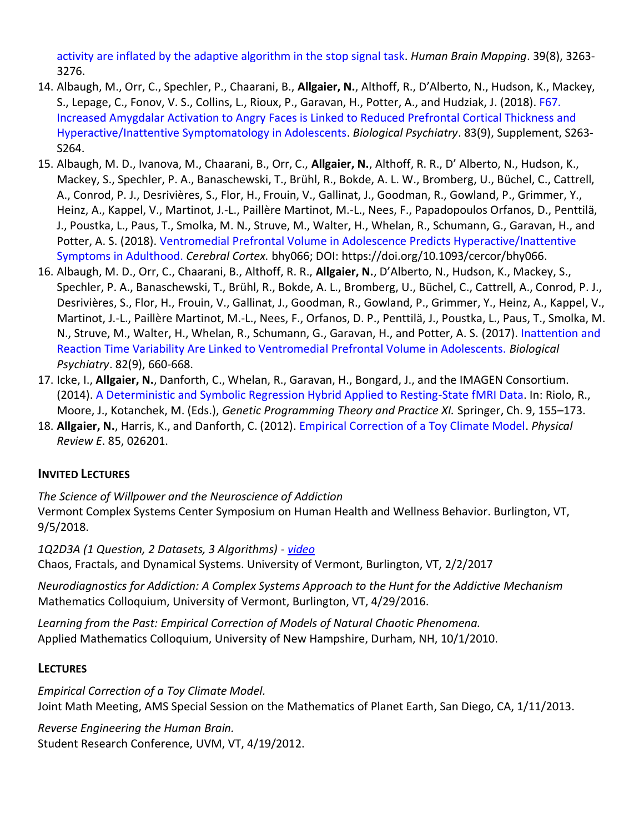[activity are inflated by the adaptive algorithm in the stop signal task.](https://onlinelibrary.wiley.com/doi/abs/10.1002/hbm.24075) *Human Brain Mapping*. 39(8), 3263- 3276.

- 14. Albaugh, M., Orr, C., Spechler, P., Chaarani, B., **Allgaier, N.**, Althoff, R., D'Alberto, N., Hudson, K., Mackey, S., Lepage, C., Fonov, V. S., Collins, L., Rioux, P., Garavan, H., Potter, A., and Hudziak, J. (2018). [F67.](https://www.sciencedirect.com/science/article/pii/S0006322318307820?via%3Dihub)  [Increased Amygdalar Activation to Angry Faces is Linked to Reduced Prefrontal Cortical Thickness and](https://www.sciencedirect.com/science/article/pii/S0006322318307820?via%3Dihub)  [Hyperactive/Inattentive Symptomatology in Adolescents.](https://www.sciencedirect.com/science/article/pii/S0006322318307820?via%3Dihub) *Biological Psychiatry*. 83(9), Supplement, S263- S264.
- 15. Albaugh, M. D., Ivanova, M., Chaarani, B., Orr, C., **Allgaier, N.**, Althoff, R. R., D' Alberto, N., Hudson, K., Mackey, S., Spechler, P. A., Banaschewski, T., Brühl, R., Bokde, A. L. W., Bromberg, U., Büchel, C., Cattrell, A., Conrod, P. J., Desrivières, S., Flor, H., Frouin, V., Gallinat, J., Goodman, R., Gowland, P., Grimmer, Y., Heinz, A., Kappel, V., Martinot, J.-L., Paillère Martinot, M.-L., Nees, F., Papadopoulos Orfanos, D., Penttilä, J., Poustka, L., Paus, T., Smolka, M. N., Struve, M., Walter, H., Whelan, R., Schumann, G., Garavan, H., and Potter, A. S. (2018). [Ventromedial Prefrontal Volume in Adolescence Predicts Hyperactive/Inattentive](https://academic.oup.com/cercor/advance-article-abstract/doi/10.1093/cercor/bhy066/4975485?redirectedFrom=fulltext)  [Symptoms in Adulthood.](https://academic.oup.com/cercor/advance-article-abstract/doi/10.1093/cercor/bhy066/4975485?redirectedFrom=fulltext) *Cerebral Cortex.* bhy066; DOI: https://doi.org/10.1093/cercor/bhy066.
- 16. Albaugh, M. D., Orr, C., Chaarani, B., Althoff, R. R., **Allgaier, N.**, D'Alberto, N., Hudson, K., Mackey, S., Spechler, P. A., Banaschewski, T., Brühl, R., Bokde, A. L., Bromberg, U., Büchel, C., Cattrell, A., Conrod, P. J., Desrivières, S., Flor, H., Frouin, V., Gallinat, J., Goodman, R., Gowland, P., Grimmer, Y., Heinz, A., Kappel, V., Martinot, J.-L., Paillère Martinot, M.-L., Nees, F., Orfanos, D. P., Penttilä, J., Poustka, L., Paus, T., Smolka, M. N., Struve, M., Walter, H., Whelan, R., Schumann, G., Garavan, H., and Potter, A. S. (2017). [Inattention and](http://www.biologicalpsychiatryjournal.com/article/S0006-3223(17)30035-5/fulltext)  [Reaction Time Variability Are Linked to Ventromedial Prefrontal Volume in Adolescents.](http://www.biologicalpsychiatryjournal.com/article/S0006-3223(17)30035-5/fulltext) *Biological Psychiatry*. 82(9), 660-668.
- 17. Icke, I., **Allgaier, N.**, Danforth, C., Whelan, R., Garavan, H., Bongard, J., and the IMAGEN Consortium. (2014). [A Deterministic and Symbolic Regression Hybrid Applied to Resting-State fMRI Data.](http://link.springer.com/chapter/10.1007%2F978-1-4939-0375-7_9) In: Riolo, R., Moore, J., Kotanchek, M. (Eds.), *Genetic Programming Theory and Practice XI.* Springer, Ch. 9, 155–173.
- 18. **Allgaier, N.**, Harris, K., and Danforth, C. (2012). [Empirical Correction of a Toy Climate Model.](http://www.uvm.edu/~nallgaie/research/EmpiricalCorrectionOfAToyClimateModel.pdf) *Physical Review E*. 85, 026201.

## **INVITED LECTURES**

*The Science of Willpower and the Neuroscience of Addiction* Vermont Complex Systems Center Symposium on Human Health and Wellness Behavior. Burlington, VT, 9/5/2018.

*1Q2D3A (1 Question, 2 Datasets, 3 Algorithms) - [video](https://www.youtube.com/watch?v=p2Vt5fdggwk)* Chaos, Fractals, and Dynamical Systems. University of Vermont, Burlington, VT, 2/2/2017

*Neurodiagnostics for Addiction: A Complex Systems Approach to the Hunt for the Addictive Mechanism* Mathematics Colloquium, University of Vermont, Burlington, VT, 4/29/2016.

*Learning from the Past: Empirical Correction of Models of Natural Chaotic Phenomena.* Applied Mathematics Colloquium, University of New Hampshire, Durham, NH, 10/1/2010.

## **LECTURES**

*Empirical Correction of a Toy Climate Model.* Joint Math Meeting, AMS Special Session on the Mathematics of Planet Earth, San Diego, CA, 1/11/2013.

*Reverse Engineering the Human Brain.* Student Research Conference, UVM, VT, 4/19/2012.